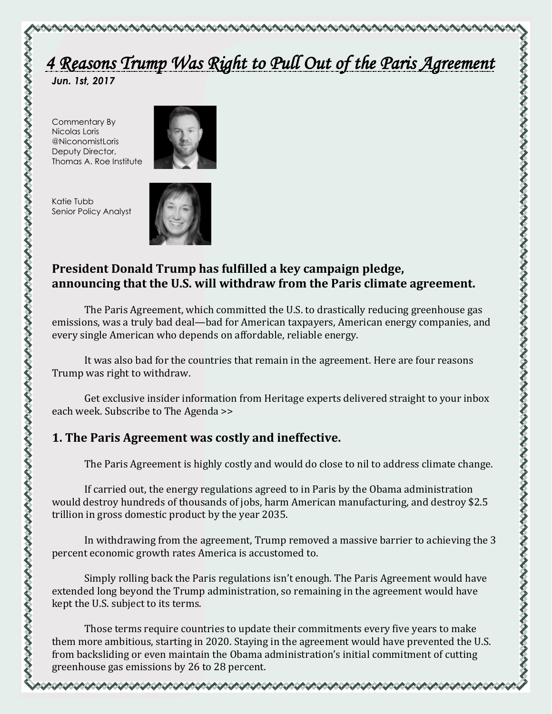# *4 Reasons Trump Was Right to Pull Out of the Paris Agreement*

\@@@@@@@@@@@@@@@@@@@@@@@

*Jun. 1st, 2017* 

Commentary By Nicolas Loris @NiconomistLoris Deputy Director, Thomas A. Roe Institute



Katie Tubb Senior Policy Analyst



# **President Donald Trump has fulfilled a key campaign pledge, announcing that the U.S. will withdraw from the Paris climate agreement.**

The Paris Agreement, which committed the U.S. to drastically reducing greenhouse gas emissions, was a truly bad deal—bad for American taxpayers, American energy companies, and every single American who depends on affordable, reliable energy.

It was also bad for the countries that remain in the agreement. Here are four reasons Trump was right to withdraw.

Get exclusive insider information from Heritage experts delivered straight to your inbox each week. Subscribe to The Agenda >>

# **1. The Paris Agreement was costly and ineffective.**

The Paris Agreement is highly costly and would do close to nil to address climate change.

If carried out, the energy regulations agreed to in Paris by the Obama administration would destroy hundreds of thousands of jobs, harm American manufacturing, and destroy \$2.5 trillion in gross domestic product by the year 2035.

In withdrawing from the agreement, Trump removed a massive barrier to achieving the 3 percent economic growth rates America is accustomed to.

Simply rolling back the Paris regulations isn't enough. The Paris Agreement would have extended long beyond the Trump administration, so remaining in the agreement would have kept the U.S. subject to its terms.

Those terms require countries to update their commitments every five years to make them more ambitious, starting in 2020. Staying in the agreement would have prevented the U.S. from backsliding or even maintain the Obama administration's initial commitment of cutting greenhouse gas emissions by 26 to 28 percent.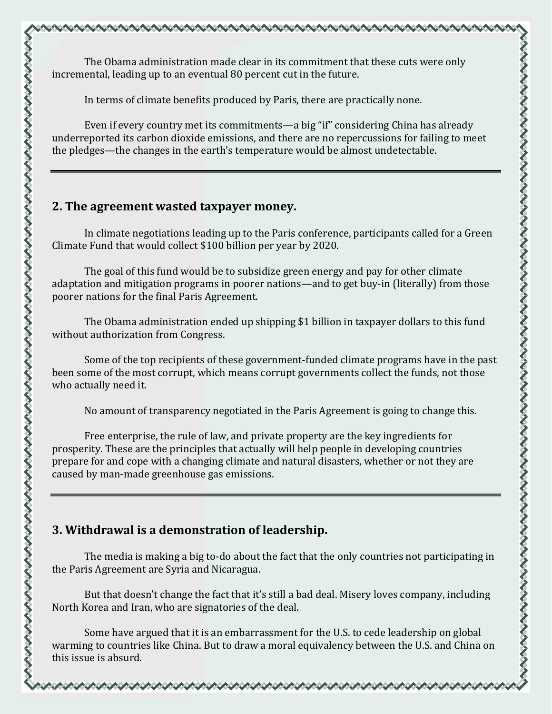The Obama administration made clear in its commitment that these cuts were only incremental, leading up to an eventual 80 percent cut in the future.

In terms of climate benefits produced by Paris, there are practically none.

Even if every country met its commitments—a big "if" considering China has already underreported its carbon dioxide emissions, and there are no repercussions for failing to meet the pledges—the changes in the earth's temperature would be almost undetectable.

#### **2. The agreement wasted taxpayer money.**

In climate negotiations leading up to the Paris conference, participants called for a Green Climate Fund that would collect \$100 billion per year by 2020.

The goal of this fund would be to subsidize green energy and pay for other climate adaptation and mitigation programs in poorer nations—and to get buy-in (literally) from those poorer nations for the final Paris Agreement.

The Obama administration ended up shipping \$1 billion in taxpayer dollars to this fund without authorization from Congress.

Some of the top recipients of these government-funded climate programs have in the past been some of the most corrupt, which means corrupt governments collect the funds, not those who actually need it.

No amount of transparency negotiated in the Paris Agreement is going to change this.

Free enterprise, the rule of law, and private property are the key ingredients for prosperity. These are the principles that actually will help people in developing countries prepare for and cope with a changing climate and natural disasters, whether or not they are caused by man-made greenhouse gas emissions.

## **3. Withdrawal is a demonstration of leadership.**

The media is making a big to-do about the fact that the only countries not participating in the Paris Agreement are Syria and Nicaragua.

But that doesn't change the fact that it's still a bad deal. Misery loves company, including North Korea and Iran, who are signatories of the deal.

Some have argued that it is an embarrassment for the U.S. to cede leadership on global warming to countries like China. But to draw a moral equivalency between the U.S. and China on this issue is absurd.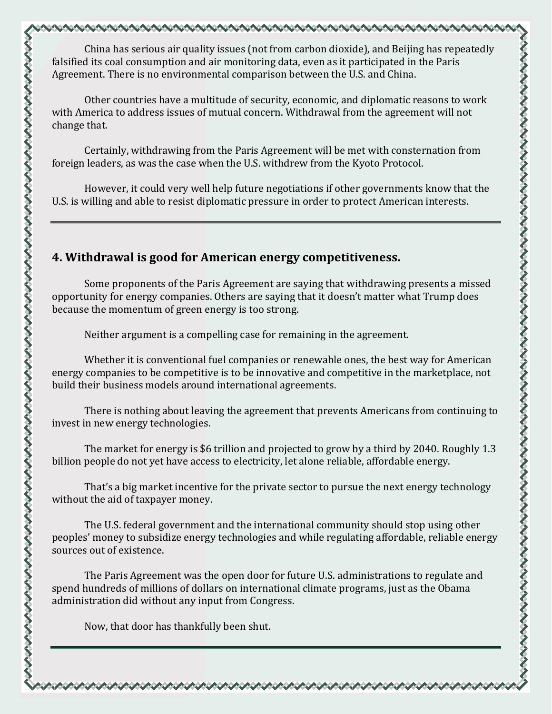China has serious air quality issues (not from carbon dioxide), and Beijing has repeatedly falsified its coal consumption and air monitoring data, even as it participated in the Paris Agreement. There is no environmental comparison between the U.S. and China.

Other countries have a multitude of security, economic, and diplomatic reasons to work with America to address issues of mutual concern. Withdrawal from the agreement will not change that.

Certainly, withdrawing from the Paris Agreement will be met with consternation from foreign leaders, as was the case when the U.S. withdrew from the Kyoto Protocol.

However, it could very well help future negotiations if other governments know that the U.S. is willing and able to resist diplomatic pressure in order to protect American interests.

### **4. Withdrawal is good for American energy competitiveness.**

Some proponents of the Paris Agreement are saying that withdrawing presents a missed opportunity for energy companies. Others are saying that it doesn't matter what Trump does because the momentum of green energy is too strong.

Neither argument is a compelling case for remaining in the agreement.

Whether it is conventional fuel companies or renewable ones, the best way for American energy companies to be competitive is to be innovative and competitive in the marketplace, not build their business models around international agreements.

There is nothing about leaving the agreement that prevents Americans from continuing to invest in new energy technologies.

The market for energy is \$6 trillion and projected to grow by a third by 2040. Roughly 1.3 billion people do not yet have access to electricity, let alone reliable, affordable energy.

That's a big market incentive for the private sector to pursue the next energy technology without the aid of taxpayer money.

The U.S. federal government and the international community should stop using other peoples' money to subsidize energy technologies and while regulating affordable, reliable energy sources out of existence.

The Paris Agreement was the open door for future U.S. administrations to regulate and spend hundreds of millions of dollars on international climate programs, just as the Obama administration did without any input from Congress.

Now, that door has thankfully been shut.